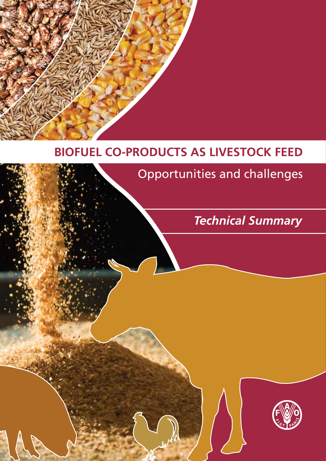

Opportunities and challenges

*Technical Summary*

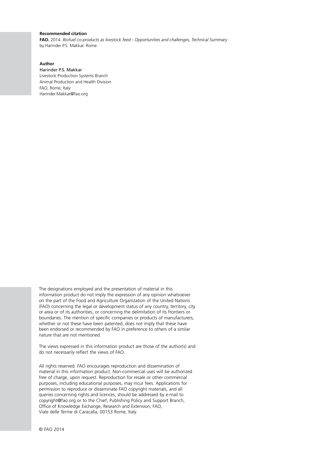## **Recommended citation**

**FAO.** 2014. *Biofuel co-products as livestock feed - Opportunities and challenges, Technical Summary*  by Harinder P.S. Makkar. Rome.

# **Author**

Harinder P.S. Makkar Livestock Production Systems Branch Animal Production and Health Division FAO, Rome, Italy Harinder.Makkar@fao.org

The designations employed and the presentation of material in this information product do not imply the expression of any opinion whatsoever on the part of the Food and Agriculture Organization of the United Nations (FAO) concerning the legal or development status of any country, territory, city or area or of its authorities, or concerning the delimitation of its frontiers or boundaries. The mention of specific companies or products of manufacturers, whether or not these have been patented, does not imply that these have been endorsed or recommended by FAO in preference to others of a similar nature that are not mentioned.

The views expressed in this information product are those of the author(s) and do not necessarily reflect the views of FAO.

All rights reserved. FAO encourages reproduction and dissemination of material in this information product. Non-commercial uses will be authorized free of charge, upon request. Reproduction for resale or other commercial purposes, including educational purposes, may incur fees. Applications for permission to reproduce or disseminate FAO copyright materials, and all queries concerning rights and licences, should be addressed by e-mail to copyright@fao.org or to the Chief, Publishing Policy and Support Branch, Office of Knowledge Exchange, Research and Extension, FAO, Viale delle Terme di Caracalla, 00153 Rome, Italy.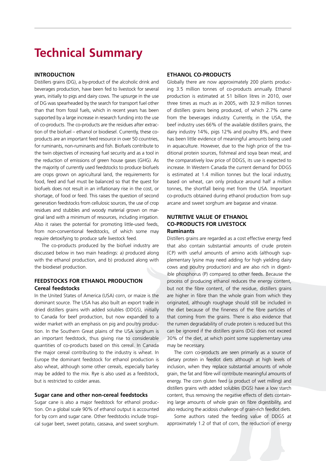# **Technical Summary**

# **Introduction**

Distillers grains (DG), a by-product of the alcoholic drink and beverages production, have been fed to livestock for several years, initially to pigs and dairy cows. The upsurge in the use of DG was spearheaded by the search for transport fuel other than that from fossil fuels, which in recent years has been supported by a large increase in research funding into the use of co-products. The co-products are the residues after extraction of the biofuel – ethanol or biodiesel. Currently, these coproducts are an important feed resource in over 50 countries, for ruminants, non-ruminants and fish. Biofuels contribute to the twin objectives of increasing fuel security and as a tool in the reduction of emissions of green house gases (GHG). As the majority of currently used feedstocks to produce biofuels are crops grown on agricultural land, the requirements for food, feed and fuel must be balanced so that the quest for biofuels does not result in an inflationary rise in the cost, or shortage, of food or feed. This raises the question of second generation feedstocks from cellulosic sources, the use of crop residues and stubbles and woody material grown on marginal land with a minimum of resources, including irrigation. Also it raises the potential for promoting little-used feeds, from non-conventional feedstocks, of which some may require detoxifying to produce safe livestock feed.

The co-products produced by the biofuel industry are discussed below in two main headings: a) produced along with the ethanol production, and b) produced along with the biodiesel production.

# **FEEDSTOCKS FOR ETHANOL PRODUCTION Cereal feedstocks**

In the United States of America (USA) corn, or maize is the dominant source. The USA has also built an export trade in dried distillers grains with added solubles (DDGS), initially to Canada for beef production, but now expanded to a wider market with an emphasis on pig and poultry production. In the Southern Great plains of the USA sorghum is an important feedstock, thus giving rise to considerable quantities of co-products based on this cereal. In Canada the major cereal contributing to the industry is wheat. In Europe the dominant feedstock for ethanol production is also wheat, although some other cereals, especially barley may be added to the mix. Rye is also used as a feedstock, but is restricted to colder areas.

## **Sugar cane and other non-cereal feedstocks**

Sugar cane is also a major feedstock for ethanol production. On a global scale 90% of ethanol output is accounted for by corn and sugar cane. Other feedstocks include tropical sugar beet, sweet potato, cassava, and sweet sorghum.

# **ETHANOL CO-PRODUCTS**

Globally there are now approximately 200 plants producing 3.5 million tonnes of co-products annually. Ethanol production is estimated at 51 billion litres in 2010, over three times as much as in 2005, with 32.9 million tonnes of distillers grains being produced, of which 2.7% came from the beverages industry. Currently, in the USA, the beef industry uses 66% of the available distillers grains, the dairy industry 14%, pigs 12% and poultry 8%, and there has been little evidence of meaningful amounts being used in aquaculture. However, due to the high price of the traditional protein sources, fishmeal and soya bean meal, and the comparatively low price of DDGS, its use is expected to increase. In Western Canada the current demand for DDGS is estimated at 1.4 million tonnes but the local industry, based on wheat, can only produce around half a million tonnes, the shortfall being met from the USA. Important co-products obtained during ethanol production from sugarcane and sweet sorghum are bagasse and vinasse.

# **NUTRITIVE VALUE OF ETHANOL CO-PRODUCTS FOR LIVESTOCK Ruminants**

Distillers grains are regarded as a cost effective energy feed that also contain substantial amounts of crude protein (CP) with useful amounts of amino acids (although supplementary lysine may need adding for high yielding dairy cows and poultry production) and are also rich in digestible phosphorus (P) compared to other feeds. Because the process of producing ethanol reduces the energy content, but not the fibre content, of the residue, distillers grains are higher in fibre than the whole grain from which they originated, although roughage should still be included in the diet because of the fineness of the fibre particles of that coming from the grains. There is also evidence that the rumen degradability of crude protein is reduced but this can be ignored if the distillers grains (DG) does not exceed 30% of the diet, at which point some supplementary urea may be necessary.

The corn co-products are seen primarily as a source of dietary protein in feedlot diets although at high levels of inclusion, when they replace substantial amounts of whole grain, the fat and fibre will contribute meaningful amounts of energy. The corn gluten feed (a product of wet milling) and distillers grains with added solubles (DGS) have a low starch content, thus removing the negative effects of diets containing large amounts of whole grain on fibre digestibility, and also reducing the acidosis challenge of grain-rich feedlot diets.

Some authors rated the feeding value of DDGS at approximately 1.2 of that of corn, the reduction of energy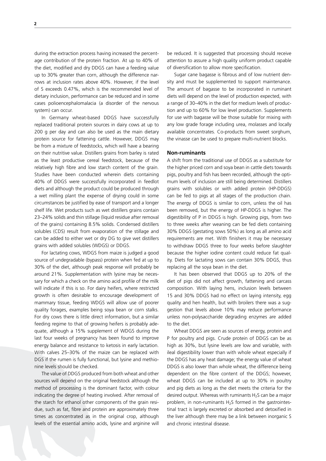during the extraction process having increased the percentage contribution of the protein fraction. At up to 40% of the diet, modified and dry DDGS can have a feeding value up to 30% greater than corn, although the difference narrows at inclusion rates above 40%. However, if the level of S exceeds 0.47%, which is the recommended level of dietary inclusion, performance can be reduced and in some cases polioencephalomalacia (a disorder of the nervous system) can occur.

In Germany wheat-based DDGS have successfully replaced traditional protein sources in dairy cows at up to 200 g per day and can also be used as the main dietary protein source for fattening cattle. However, DDGS may be from a mixture of feedstocks, which will have a bearing on their nutritive value. Distillers grains from barley is rated as the least productive cereal feedstock, because of the relatively high fibre and low starch content of the grain. Studies have been conducted wherein diets containing 40% of DDGS were successfully incorporated in feedlot diets and although the product could be produced through a wet milling plant the expense of drying could in some circumstances be justified by ease of transport and a longer shelf life. Wet products such as wet distillers grains contain 23–24% solids and thin stillage (liquid residue after removal of the grains) containing 8.5% solids. Condensed distillers solubles (CDS) result from evaporation of the stillage and can be added to either wet or dry DG to give wet distillers grains with added solubles (WDGS) or DDGS.

For lactating cows, WDGS from maize is judged a good source of undegradable (bypass) protein when fed at up to 30% of the diet, although peak response will probably be around 21%. Supplementation with lysine may be necessary for which a check on the amino acid profile of the milk will indicate if this is so. For dairy heifers, where restricted growth is often desirable to encourage development of mammary tissue, feeding WDGS will allow use of poorer quality forages, examples being soya bean or corn stalks. For dry cows there is little direct information, but a similar feeding regime to that of growing heifers is probably adequate, although a 15% supplement of WDGS during the last four weeks of pregnancy has been found to improve energy balance and resistance to ketosis in early lactation. With calves 25–30% of the maize can be replaced with DGS if the rumen is fully functional, but lysine and methionine levels should be checked.

The value of DDGS produced from both wheat and other sources will depend on the original feedstock although the method of processing is the dominant factor, with colour indicating the degree of heating involved. After removal of the starch for ethanol other components of the grain residue, such as fat, fibre and protein are approximately three times as concentrated as in the original crop, although levels of the essential amino acids, lysine and arginine will be reduced. It is suggested that processing should receive attention to assure a high quality uniform product capable of diversification to allow more specification.

Sugar cane bagasse is fibrous and of low nutrient density and must be supplemented to support maintenance. The amount of bagasse to be incorporated in ruminant diets will depend on the level of production expected, with a range of 30–40% in the diet for medium levels of production and up to 60% for low level production. Supplements for use with bagasse will be those suitable for mixing with any low grade forage including urea, molasses and locally available concentrates. Co-products from sweet sorghum, the vinasse can be used to prepare multi-nutrient blocks.

## **Non-ruminants**

A shift from the traditional use of DDGS as a substitute for the higher priced corn and soya bean in cattle diets towards pigs, poultry and fish has been recorded, although the optimum levels of inclusion are still being determined. Distillers grains with solubles or with added protein (HP-DDGS) can be fed to pigs at all stages of the production chain. The energy of DDGS is similar to corn, unless the oil has been removed, but the energy of HP-DDGS is higher. The digestibility of P in DDGS is high. Growing pigs, from two to three weeks after weaning can be fed diets containing 30% DDGS (gestating sows 50%) as long as all amino acid requirements are met. With finishers it may be necessary to withdraw DDGS three to four weeks before slaughter because the higher iodine content could reduce fat quality. Diets for lactating sows can contain 30% DDGS, thus replacing all the soya bean in the diet.

It has been observed that DDGS up to 20% of the diet of pigs did not affect growth, fattening and carcass composition. With laying hens, inclusion levels between 15 and 30% DDGS had no effect on laying intensity, egg quality and hen health, but with broilers there was a suggestion that levels above 10% may reduce performance unless non-polysaccharide degrading enzymes are added to the diet.

Wheat DDGS are seen as sources of energy, protein and P for poultry and pigs. Crude protein of DDGS can be as high as 30%, but lysine levels are low and variable, with ileal digestibility lower than with whole wheat especially if the DDGS has any heat damage; the energy value of wheat DDGS is also lower than whole wheat, the difference being dependent on the fibre content of the DDGS; however, wheat DDGS can be included at up to 30% in poultry and pig diets as long as the diet meets the criteria for the desired output. Whereas with ruminants  $H_2S$  can be a major problem, in non-ruminants  $H_2S$  formed in the gastrointestinal tract is largely excreted or absorbed and detoxified in the liver although there may be a link between inorganic S and chronic intestinal disease.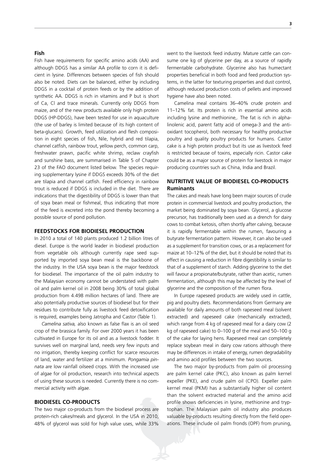## **Fish**

Fish have requirements for specific amino acids (AA) and although DDGS has a similar AA profile to corn it is deficient in lysine. Differences between species of fish should also be noted. Diets can be balanced, either by including DDGS in a cocktail of protein feeds or by the addition of synthetic AA. DDGS is rich in vitamins and P but is short of Ca, Cl and trace minerals. Currently only DDGS from maize, and of the new products available only high protein DDGS (HP-DDGS), have been tested for use in aquaculture (the use of barley is limited because of its high content of beta-glucans). Growth, feed utilization and flesh composition in eight species of fish, Nile, hybrid and red tilapia, channel catfish, rainbow trout, yellow perch, common carp, freshwater prawn, pacific white shrimp, reclaw crayfish and sunshine bass, are summarised in Table 5 of Chapter 23 of the FAO document listed below. The species requiring supplementary lysine if DDGS exceeds 30% of the diet are tilapia and channel catfish. Feed efficiency in rainbow trout is reduced if DDGS is included in the diet. There are indications that the digestibility of DDGS is lower than that of soya bean meal or fishmeal, thus indicating that more of the feed is excreted into the pond thereby becoming a possible source of pond pollution.

## **FEEDSTOCKS FOR BIODIESEL PRODUCTION**

In 2010 a total of 140 plants produced 1.2 billion litres of diesel. Europe is the world leader in biodiesel production from vegetable oils although currently rape seed supported by imported soya bean meal is the backbone of the industry. In the USA soya bean is the major feedstock for biodiesel. The importance of the oil palm industry to the Malaysian economy cannot be understated with palm oil and palm kernel oil in 2008 being 30% of total global production from 4.498 million hectares of land. There are also potentially productive sources of biodiesel but for their residues to contribute fully as livestock feed detoxification is required, examples being Jatropha and Castor (Table 1).

*Camelina sativa,* also known as false flax is an oil seed crop of the brassica family. For over 2000 years it has been cultivated in Europe for its oil and as a livestock fodder. It survives well on marginal land, needs very few inputs and no irrigation, thereby keeping conflict for scarce resources of land, water and fertilizer at a minimum. *Pongamia pinnata* are low rainfall oilseed crops. With the increased use of algae for oil production, research into technical aspects of using these sources is needed. Currently there is no commercial activity with algae.

#### **BIODIESEL CO-PRODUCTS**

The two major co-products from the biodiesel process are protein-rich cakes/meals and glycerol. In the USA in 2010, 48% of glycerol was sold for high value uses, while 33%

went to the livestock feed industry. Mature cattle can consume one kg of glycerine per day, as a source of rapidly fermentable carbohydrate. Glycerine also has humectant properties beneficial in both food and feed production systems, in the latter for texturing properties and dust control, although reduced production costs of pellets and improved hygiene have also been noted.

Camelina meal contains 36–40% crude protein and 11–12% fat. Its protein is rich in essential amino acids including lysine and methionine,. The fat is rich in alphalinolenic acid, parent fatty acid of omega-3 and the antioxidant tocopherol, both necessary for healthy productive poultry and quality poultry products for humans. Castor cake is a high protein product but its use as livestock feed is restricted because of toxins, especially ricin. Castor cake could be as a major source of protein for livestock in major producing countries such as China, India and Brazil.

# **NUTRITIVE VALUE OF BIODIESEL CO-PRODUCTS Ruminants**

The cakes and meals have long been major sources of crude protein in commercial livestock and poultry production, the market being dominated by soya bean. Glycerol, a glucose precursor, has traditionally been used as a drench for dairy cows to combat ketosis, often shortly after calving, because it is rapidly fermentable within the rumen, favouring a butyrate fermentation pattern. However, it can also be used as a supplement for transition cows, or as a replacement for maize at 10–12% of the diet, but it should be noted that its effect in causing a reduction in fibre digestibility is similar to that of a supplement of starch. Adding glycerine to the diet will favour a propionate/butyrate, rather than acetic, rumen fermentation, although this may be affected by the level of glycerine and the composition of the rumen flora.

In Europe rapeseed products are widely used in cattle, pig and poultry diets. Recommendations from Germany are available for daily amounts of both rapeseed meal (solvent extracted) and rapeseed cake (mechanically extracted), which range from 4 kg of rapeseed meal for a dairy cow (2 kg of rapeseed cake) to 0–100 g of the meal and 50–100 g of the cake for laying hens. Rapeseed meal can completely replace soybean meal in dairy cow rations although there may be differences in intake of energy, rumen degradability and amino acid profiles between the two sources.

The two major by-products from palm oil processing are palm kernel cake (PKC), also known as palm kernel expeller (PKE), and crude palm oil (CPO). Expeller palm kernel meal (PKM) has a substantially higher oil content than the solvent extracted material and the amino acid profile shows deficiencies in lysine, methionine and tryptophan. The Malaysian palm oil industry also produces valuable by-products resulting directly from the field operations. These include oil palm fronds (OPF) from pruning,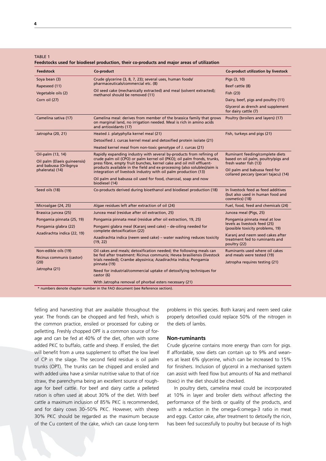Table 1

| reedstocks used for biodieser production, their co-products and major areas or utilization    |                                                                                                                                                                                                                                   |                                                                                                 |
|-----------------------------------------------------------------------------------------------|-----------------------------------------------------------------------------------------------------------------------------------------------------------------------------------------------------------------------------------|-------------------------------------------------------------------------------------------------|
| <b>Feedstock</b>                                                                              | Co-product                                                                                                                                                                                                                        | Co-product utilization by livestock                                                             |
| Soya bean (3)                                                                                 | Crude glycerine (3, 8, 7, 23); several uses, human foods/                                                                                                                                                                         | Pigs (3, 10)                                                                                    |
| Rapeseed (11)                                                                                 | pharmaceuticals/commercial etc. (8)                                                                                                                                                                                               | Beef cattle (8)                                                                                 |
| Vegetable oils (2)                                                                            | Oil seed cake (mechanically extracted) and meal (solvent extracted);<br>methanol should be removed (11)                                                                                                                           | Fish (23)                                                                                       |
| Corn oil (27)                                                                                 |                                                                                                                                                                                                                                   | Dairy, beef, pigs and poultry (11)                                                              |
|                                                                                               |                                                                                                                                                                                                                                   | Glycerol as drench and supplement<br>for dairy cattle (7)                                       |
| Camelina sativa (17)                                                                          | Camelina meal: derives from member of the brassica family that grows<br>on marginal land, no irrigation needed. Meal is rich in amino acids<br>and antioxidants (17)                                                              | Poultry (broilers and layers) (17)                                                              |
| Jatropha (20, 21)                                                                             | Heated J. platyphylla kernel meal (21)                                                                                                                                                                                            | Fish, turkeys and pigs (21)                                                                     |
|                                                                                               | Detoxified J. curcas kernel meal and detoxified protein isolate (21)                                                                                                                                                              |                                                                                                 |
|                                                                                               | Heated kernel meal from non-toxic genotype of J. curcas (21)                                                                                                                                                                      |                                                                                                 |
| Oil-palm (13, 14)<br>Oil palm (Elaeis quineensis)<br>and babussa (Oribgnya<br>phalerata) (14) | Rapidly expanding industry with several by-products from refining of<br>crude palm oil (CPO) or palm kernel oil (PKO); oil palm fronds, trunks,<br>press fibre, empty fruit bunches, kernel cake and oil mill effluent-           | Ruminant feeding/complete diets<br>based on oil palm, poultry/pigs and<br>fresh water fish (13) |
|                                                                                               | products available in the field and ex-processing {also solubles}/aim is<br>integration of livestock industry with oil palm production (13)                                                                                       | Oil palm and babussa feed for<br>collared peccary (pecari tajacu) (14)                          |
|                                                                                               | Oil palm and babussa oil used for food, charcoal, soap and now<br>biodiesel (14)                                                                                                                                                  |                                                                                                 |
| Seed oils (18)                                                                                | Co-products derived during bioethanol and biodiesel production (18)                                                                                                                                                               | In livestock feed as feed additives<br>(but also used in human food and<br>cosmetics) (18)      |
| Microalgae (24, 25)                                                                           | Algae residues left after extraction of oil (24)                                                                                                                                                                                  | Fuel, food, feed and chemicals (24)                                                             |
| Brassica juncea (25)                                                                          | Juncea meal (residue after oil extraction, 25)                                                                                                                                                                                    | Juncea meal (Pigs, 25)                                                                          |
| Pongamia pinnata (25, 19)                                                                     | Pongamia pinnata meal (residue after oil extraction, 19, 25)                                                                                                                                                                      | Pongamia pinnata meal at low                                                                    |
| Pongamia glabra (22)                                                                          | Pongami glabra meal (Karanj seed cake) – de-oiling needed for<br>complete detoxification (22)                                                                                                                                     | levels as livestock feed (25)<br>(possible toxicity problems, 19)                               |
| Azadirachta indica (22, 19)                                                                   | Azadirachta indica (neem seed cake) – water washing reduces toxicity<br>(19, 22)                                                                                                                                                  | Karanj and neem seed cakes after<br>treatment fed to ruminants and<br>poultry (22)              |
| Non-edible oils (19)                                                                          | Oil cakes and meals; detoxification needed; the following meals can<br>be fed after treatment: Ricinus communis; Hevea brasiliensis (livestock<br>trials needed); Crambe abyssinica; Azadirachta indica; Pongamia<br>pinnata (19) | Ruminants used where oil cakes<br>and meals were tested (19)                                    |
| Ricinus communis (castor)<br>(20)                                                             |                                                                                                                                                                                                                                   | Jatropha requires testing (21)                                                                  |
| Jatropha (21)                                                                                 | Need for industrial/commercial uptake of detoxifying techniques for<br>castor (6)                                                                                                                                                 |                                                                                                 |
|                                                                                               | With Jatropha removal of phorbal esters necessary (21)                                                                                                                                                                            |                                                                                                 |
| * numbers denote chapter number in the FAO document (see Reference section).                  |                                                                                                                                                                                                                                   |                                                                                                 |

**Feedstocks used for biodiesel production, their co-products and major areas of utilization** 

felling and harvesting that are available throughout the year. The fronds can be chopped and fed fresh, which is the common practice, ensiled or processed for cubing or pelletting. Freshly chopped OPF is a common source of forage and can be fed at 40% of the diet, often with some added PKC to buffalo, cattle and sheep. If ensiled, the diet will benefit from a urea supplement to offset the low level of CP in the silage. The second field residue is oil palm trunks (OPT). The trunks can be chipped and ensiled and with added urea have a similar nutritive value to that of rice straw, the parenchyma being an excellent source of roughage for beef cattle. For beef and dairy cattle a pelleted ration is often used at about 30% of the diet. With beef cattle a maximum inclusion of 85% PKC is recommended, and for dairy cows 30–50% PKC. However, with sheep 30% PKC should be regarded as the maximum because of the Cu content of the cake, which can cause long-term

problems in this species. Both karanj and neem seed cake properly detoxified could replace 50% of the nitrogen in the diets of lambs.

# **Non-ruminants**

Crude glycerine contains more energy than corn for pigs. If affordable, sow diets can contain up to 9% and weaners at least 6% glycerine, which can be increased to 15% for finishers. Inclusion of glycerol in a mechanised system can assist with feed flow but amounts of Na and methanol (toxic) in the diet should be checked.

In poultry diets, camelina meal could be incorporated at 10% in layer and broiler diets without affecting the performance of the birds or quality of the products, and with a reduction in the omega-6:omega-3 ratio in meat and eggs. Castor cake, after treatment to detoxify the ricin, has been fed successfully to poultry but because of its high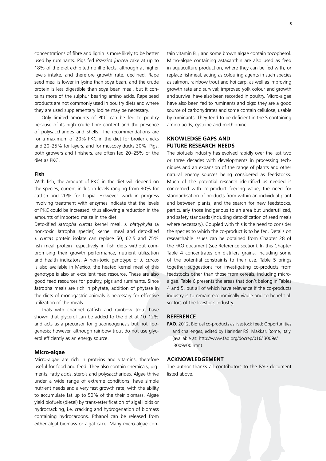concentrations of fibre and lignin is more likely to be better used by ruminants. Pigs fed *Brassica juncea* cake at up to 18% of the diet exhibited no ill effects, although at higher levels intake, and therefore growth rate, declined. Rape seed meal is lower in lysine than soya bean, and the crude protein is less digestible than soya bean meal, but it contains more of the sulphur bearing amino acids. Rape seed products are not commonly used in poultry diets and where they are used supplementary iodine may be necessary.

Only limited amounts of PKC can be fed to poultry because of its high crude fibre content and the presence of polysaccharides and shells. The recommendations are for a maximum of 20% PKC in the diet for broiler chicks and 20–25% for layers, and for muscovy ducks 30%. Pigs, both growers and finishers, are often fed 20–25% of the diet as PKC.

## **Fish**

With fish, the amount of PKC in the diet will depend on the species, current inclusion levels ranging from 30% for catfish and 20% for tilapia. However, work in progress involving treatment with enzymes indicate that the levels of PKC could be increased, thus allowing a reduction in the amounts of imported maize in the diet.

Detoxified *Jatropha curcas* kernel meal, *J. platyphylla* (a non-toxic Jatropha species) kernel meal and detoxified *J. curcas* protein isolate can replace 50, 62.5 and 75% fish meal protein respectively in fish diets without compromising their growth performance, nutrient utilization and health indicators. A non-toxic genotype of *J. curcas* is also available in Mexico, the heated kernel meal of this genotype is also an excellent feed resource. These are also good feed resources for poultry, pigs and ruminants. Since Jatropha meals are rich in phytate, addition of phytase in the diets of monogastric animals is necessary for effective utilization of the meals.

Trials with channel catfish and rainbow trout have shown that glycerol can be added to the diet at 10–12% and acts as a precursor for gluconeogenesis but not lipogenesis; however, although rainbow trout do not use glycerol efficiently as an energy source.

## **Micro-algae**

Micro-algae are rich in proteins and vitamins, therefore useful for food and feed. They also contain chemicals, pigments, fatty acids, sterols and polysaccharides. Algae thrive under a wide range of extreme conditions, have simple nutrient needs and a very fast growth rate, with the ability to accumulate fat up to 50% of the their biomass. Algae yield biofuels (diesel) by trans-esterification of algal lipids or hydrocracking, i.e. cracking and hydrogenation of biomass containing hydrocarbons. Ethanol can be released from either algal biomass or algal cake. Many micro-algae contain vitamin  $B_{12}$  and some brown algae contain tocopherol. Micro-algae containing astaxanthin are also used as feed in aquaculture production, where they can be fed with, or replace fishmeal, acting as colouring agents in such species as salmon, rainbow trout and koi carp, as well as improving growth rate and survival; improved yolk colour and growth and survival have also been recorded in poultry. Micro-algae have also been fed to ruminants and pigs: they are a good source of carbohydrates and some contain cellulose, usable by ruminants. They tend to be deficient in the S containing amino acids, cysteine and methionine.

# **KNOWLEDGE GAPS AND FUTURE RESEARCH NEEDS**

The biofuels industry has evolved rapidly over the last two or three decades with developments in processing techniques and an expansion of the range of plants and other natural energy sources being considered as feedstocks. Much of the potential research identified as needed is concerned with co-product feeding value, the need for standardisation of products from within an individual plant and between plants, and the search for new feedstocks, particularly those indigenous to an area but underutilized, and safety standards (including detoxification of seed meals where necessary). Coupled with this is the need to consider the species to which the co-product is to be fed. Details on researchable issues can be obtained from Chapter 28 of the FAO document (see Reference section). In this Chapter Table 4 concentrates on distillers grains, including some of the potential constraints to their use. Table 5 brings together suggestions for investigating co-products from feedstocks other than those from cereals, including microalgae. Table 6 presents the areas that don't belong in Tables 4 and 5, but all of which have relevance if the co-products industry is to remain economically viable and to benefit all sectors of the livestock industry.

#### **REFERENCE**

**FAO.** 2012. Biofuel co-products as livestock feed: Opportunities and challenges, edited by Harinder P.S. Makkar, Rome, Italy (available at: http://www.fao.org/docrep/016/i3009e/ i3009e00.htm)

## **ACKNOWLEDGEMENT**

The author thanks all contributors to the FAO document listed above.